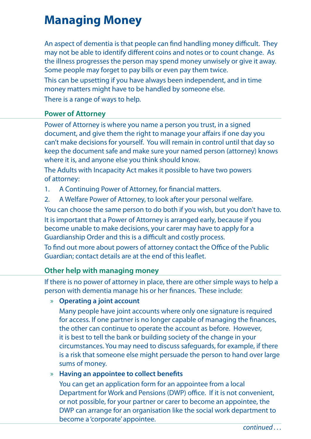# **Managing Money**

An aspect of dementia is that people can find handling money difficult. They may not be able to identify different coins and notes or to count change. As the illness progresses the person may spend money unwisely or give it away. Some people may forget to pay bills or even pay them twice.

This can be upsetting if you have always been independent, and in time money matters might have to be handled by someone else.

There is a range of ways to help.

## **Power of Attorney**

Power of Attorney is where you name a person you trust, in a signed document, and give them the right to manage your affairs if one day you can't make decisions for yourself. You will remain in control until that day so keep the document safe and make sure your named person (attorney) knows where it is, and anyone else you think should know.

The Adults with Incapacity Act makes it possible to have two powers of attorney:

1. A Continuing Power of Attorney, for financial matters.

2. A Welfare Power of Attorney, to look after your personal welfare.

You can choose the same person to do both if you wish, but you don't have to. It is important that a Power of Attorney is arranged early, because if you become unable to make decisions, your carer may have to apply for a Guardianship Order and this is a difficult and costly process.

To find out more about powers of attorney contact the Office of the Public Guardian; contact details are at the end of this leaflet.

## **Other help with managing money**

If there is no power of attorney in place, there are other simple ways to help a person with dementia manage his or her finances. These include:

### » **Operating a joint account**

Many people have joint accounts where only one signature is required for access. If one partner is no longer capable of managing the finances, the other can continue to operate the account as before. However, it is best to tell the bank or building society of the change in your circumstances. You may need to discuss safeguards, for example, if there is a risk that someone else might persuade the person to hand over large sums of money.

## » **Having an appointee to collect benefits**

You can get an application form for an appointee from a local Department for Work and Pensions (DWP) office. If it is not convenient, or not possible, for your partner or carer to become an appointee, the DWP can arrange for an organisation like the social work department to become a 'corporate' appointee.